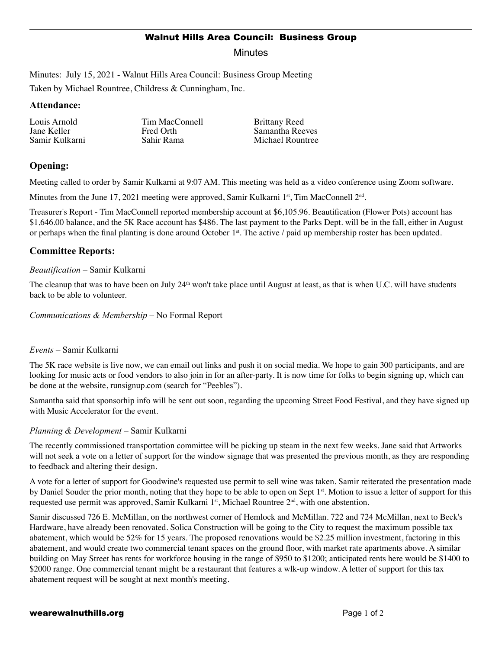Minutes

Minutes: July 15, 2021 - Walnut Hills Area Council: Business Group Meeting

Taken by Michael Rountree, Childress & Cunningham, Inc.

#### **Attendance:**

Louis Arnold Jane Keller Samir Kulkarni Tim MacConnell Fred Orth Sahir Rama

Brittany Reed Samantha Reeves Michael Rountree

# **Opening:**

Meeting called to order by Samir Kulkarni at 9:07 AM. This meeting was held as a video conference using Zoom software.

Minutes from the June 17, 2021 meeting were approved, Samir Kulkarni  $1<sup>st</sup>$ , Tim MacConnell  $2<sup>nd</sup>$ .

Treasurer's Report - Tim MacConnell reported membership account at \$6,105.96. Beautification (Flower Pots) account has \$1,646.00 balance, and the 5K Race account has \$486. The last payment to the Parks Dept. will be in the fall, either in August or perhaps when the final planting is done around October  $1<sup>st</sup>$ . The active / paid up membership roster has been updated.

# **Committee Reports:**

#### *Beautification* – Samir Kulkarni

The cleanup that was to have been on July  $24<sup>th</sup>$  won't take place until August at least, as that is when U.C. will have students back to be able to volunteer.

#### *Communications & Membership* – No Formal Report

## *Events* – Samir Kulkarni

The 5K race website is live now, we can email out links and push it on social media. We hope to gain 300 participants, and are looking for music acts or food vendors to also join in for an after-party. It is now time for folks to begin signing up, which can be done at the website, runsignup.com (search for "Peebles").

Samantha said that sponsorhip info will be sent out soon, regarding the upcoming Street Food Festival, and they have signed up with Music Accelerator for the event.

## *Planning & Development* – Samir Kulkarni

The recently commissioned transportation committee will be picking up steam in the next few weeks. Jane said that Artworks will not seek a vote on a letter of support for the window signage that was presented the previous month, as they are responding to feedback and altering their design.

A vote for a letter of support for Goodwine's requested use permit to sell wine was taken. Samir reiterated the presentation made by Daniel Souder the prior month, noting that they hope to be able to open on Sept 1<sup>st</sup>. Motion to issue a letter of support for this requested use permit was approved, Samir Kulkarni  $1<sup>st</sup>$ , Michael Rountree  $2<sup>nd</sup>$ , with one abstention.

Samir discussed 726 E. McMillan, on the northwest corner of Hemlock and McMillan. 722 and 724 McMillan, next to Beck's Hardware, have already been renovated. Solica Construction will be going to the City to request the maximum possible tax abatement, which would be 52% for 15 years. The proposed renovations would be \$2.25 million investment, factoring in this abatement, and would create two commercial tenant spaces on the ground floor, with market rate apartments above. A similar building on May Street has rents for workforce housing in the range of \$950 to \$1200; anticipated rents here would be \$1400 to \$2000 range. One commercial tenant might be a restaurant that features a wlk-up window. A letter of support for this tax abatement request will be sought at next month's meeting.